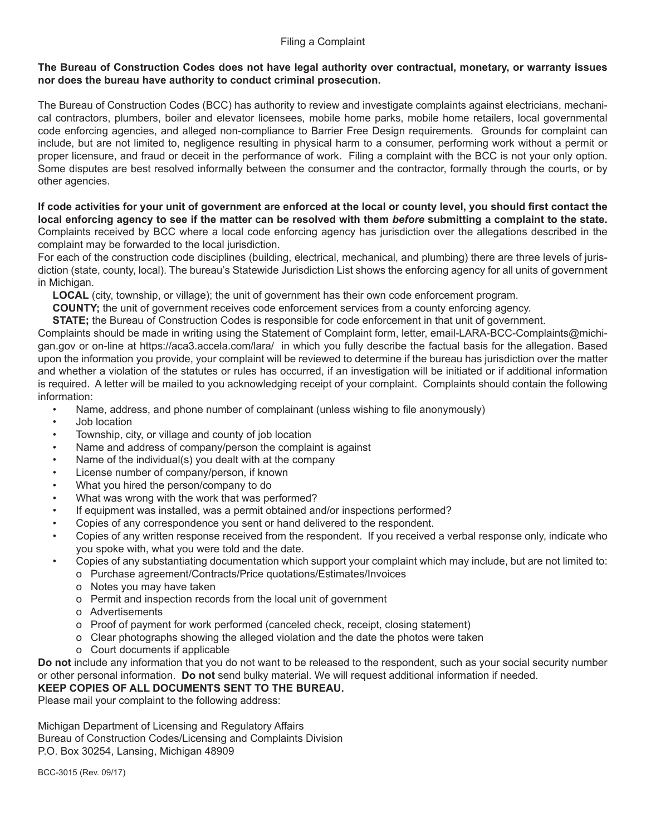### Filing a Complaint

### **The Bureau of Construction Codes does not have legal authority over contractual, monetary, or warranty issues nor does the bureau have authority to conduct criminal prosecution.**

The Bureau of Construction Codes (BCC) has authority to review and investigate complaints against electricians, mechanical contractors, plumbers, boiler and elevator licensees, mobile home parks, mobile home retailers, local governmental code enforcing agencies, and alleged non-compliance to Barrier Free Design requirements. Grounds for complaint can include, but are not limited to, negligence resulting in physical harm to a consumer, performing work without a permit or proper licensure, and fraud or deceit in the performance of work. Filing a complaint with the BCC is not your only option. Some disputes are best resolved informally between the consumer and the contractor, formally through the courts, or by other agencies.

**If code activities for your unit of government are enforced at the local or county level, you should first contact the local enforcing agency to see if the matter can be resolved with them** *before* **submitting a complaint to the state.** Complaints received by BCC where a local code enforcing agency has jurisdiction over the allegations described in the complaint may be forwarded to the local jurisdiction.

For each of the construction code disciplines (building, electrical, mechanical, and plumbing) there are three levels of jurisdiction (state, county, local). The bureau's Statewide Jurisdiction List shows the enforcing agency for all units of government in Michigan.

 **LOCAL** (city, township, or village); the unit of government has their own code enforcement program.

 **COUNTY;** the unit of government receives code enforcement services from a county enforcing agency.

**STATE;** the Bureau of Construction Codes is responsible for code enforcement in that unit of government.

Complaints should be made in writing using the Statement of Complaint form, letter, email-LARA-BCC-Complaints@michigan.gov or on-line at https://aca3.accela.com/lara/ in which you fully describe the factual basis for the allegation. Based upon the information you provide, your complaint will be reviewed to determine if the bureau has jurisdiction over the matter and whether a violation of the statutes or rules has occurred, if an investigation will be initiated or if additional information is required. A letter will be mailed to you acknowledging receipt of your complaint. Complaints should contain the following information:

- Name, address, and phone number of complainant (unless wishing to file anonymously)
- Job location
- Township, city, or village and county of job location
- Name and address of company/person the complaint is against
- Name of the individual(s) you dealt with at the company
- License number of company/person, if known
- What you hired the person/company to do
- What was wrong with the work that was performed?
- If equipment was installed, was a permit obtained and/or inspections performed?
- Copies of any correspondence you sent or hand delivered to the respondent.
- Copies of any written response received from the respondent. If you received a verbal response only, indicate who you spoke with, what you were told and the date.
- Copies of any substantiating documentation which support your complaint which may include, but are not limited to:
	- o Purchase agreement/Contracts/Price quotations/Estimates/Invoices
	- o Notes you may have taken
	- o Permit and inspection records from the local unit of government
	- o Advertisements
	- o Proof of payment for work performed (canceled check, receipt, closing statement)
	- o Clear photographs showing the alleged violation and the date the photos were taken
	- o Court documents if applicable

**Do not** include any information that you do not want to be released to the respondent, such as your social security number or other personal information. **Do not** send bulky material. We will request additional information if needed.

## **KEEP COPIES OF ALL DOCUMENTS SENT TO THE BUREAU.**

Please mail your complaint to the following address:

Michigan Department of Licensing and Regulatory Affairs Bureau of Construction Codes/Licensing and Complaints Division P.O. Box 30254, Lansing, Michigan 48909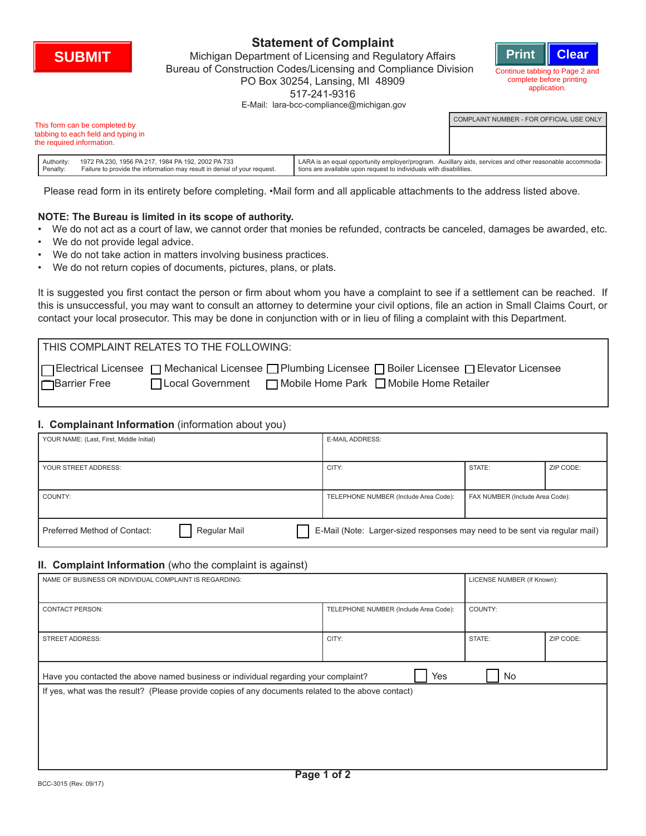

# **Statement of Complaint**

Michigan Department of Licensing and Regulatory Affairs **SUBMIT Print Clear** Bureau of Construction Codes/Licensing and Compliance Division PO Box 30254, Lansing, MI 48909 517-241-9316 E-Mail: lara-bcc-compliance@michigan.gov



COMPLAINT NUMBER - FOR OFFICIAL USE ONLY

| This form can be completed by       |
|-------------------------------------|
| tabbing to each field and typing in |
| the required information.           |

|            | e required information.                                                  |                                                                                                         |  |
|------------|--------------------------------------------------------------------------|---------------------------------------------------------------------------------------------------------|--|
| Authority: | 1972 PA 230, 1956 PA 217, 1984 PA 192, 2002 PA 733                       | LARA is an equal opportunity employer/program. Auxillary aids, services and other reasonable accommoda- |  |
| Penaltv:   | Failure to provide the information may result in denial of your request. | tions are available upon request to individuals with disabilities.                                      |  |

Please read form in its entirety before completing. •Mail form and all applicable attachments to the address listed above.

## **NOTE: The Bureau is limited in its scope of authority.**

- We do not act as a court of law, we cannot order that monies be refunded, contracts be canceled, damages be awarded, etc.
- We do not provide legal advice.
- We do not take action in matters involving business practices.
- We do not return copies of documents, pictures, plans, or plats.

It is suggested you first contact the person or firm about whom you have a complaint to see if a settlement can be reached. If this is unsuccessful, you may want to consult an attorney to determine your civil options, file an action in Small Claims Court, or contact your local prosecutor. This may be done in conjunction with or in lieu of filing a complaint with this Department.

| THIS COMPLAINT RELATES TO THE FOLLOWING: |                                                                                                                                                                    |
|------------------------------------------|--------------------------------------------------------------------------------------------------------------------------------------------------------------------|
| <b>Barrier Free</b>                      | Electrical Licensee □ Mechanical Licensee □ Plumbing Licensee □ Boiler Licensee □ Elevator Licensee<br>□Local Government □ Mobile Home Park □ Mobile Home Retailer |

### **I. Complainant Information** (information about you)

| YOUR NAME: (Last, First, Middle Initial)                                                                                   |  | <b>E-MAIL ADDRESS:</b>                |                                 |           |  |  |
|----------------------------------------------------------------------------------------------------------------------------|--|---------------------------------------|---------------------------------|-----------|--|--|
|                                                                                                                            |  |                                       |                                 |           |  |  |
| YOUR STREET ADDRESS:                                                                                                       |  | CITY:                                 | STATE:                          | ZIP CODE: |  |  |
|                                                                                                                            |  |                                       |                                 |           |  |  |
| COUNTY:                                                                                                                    |  | TELEPHONE NUMBER (Include Area Code): | FAX NUMBER (Include Area Code): |           |  |  |
|                                                                                                                            |  |                                       |                                 |           |  |  |
| Regular Mail<br>E-Mail (Note: Larger-sized responses may need to be sent via regular mail)<br>Preferred Method of Contact: |  |                                       |                                 |           |  |  |

#### **II. Complaint Information** (who the complaint is against)

| NAME OF BUSINESS OR INDIVIDUAL COMPLAINT IS REGARDING:                                                                                                                                                 | LICENSE NUMBER (If Known):            |         |           |  |  |  |
|--------------------------------------------------------------------------------------------------------------------------------------------------------------------------------------------------------|---------------------------------------|---------|-----------|--|--|--|
| <b>CONTACT PERSON:</b>                                                                                                                                                                                 | TELEPHONE NUMBER (Include Area Code): | COUNTY: |           |  |  |  |
| <b>STREET ADDRESS:</b>                                                                                                                                                                                 | CITY:                                 | STATE:  | ZIP CODE: |  |  |  |
| Yes<br>No<br>Have you contacted the above named business or individual regarding your complaint?<br>If yes, what was the result? (Please provide copies of any documents related to the above contact) |                                       |         |           |  |  |  |
|                                                                                                                                                                                                        |                                       |         |           |  |  |  |
|                                                                                                                                                                                                        |                                       |         |           |  |  |  |
| $-1$                                                                                                                                                                                                   |                                       |         |           |  |  |  |